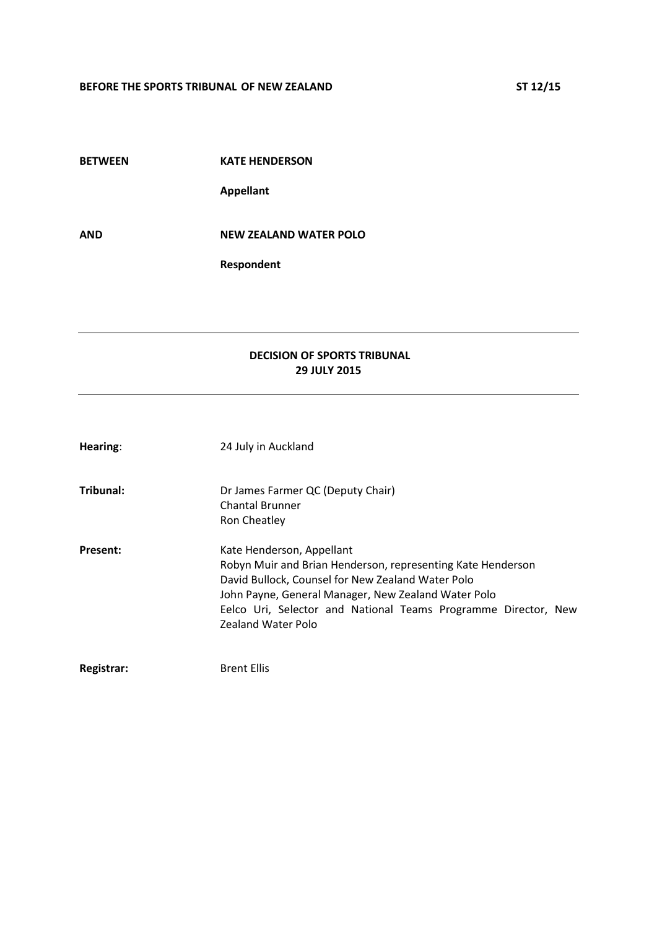| <b>BETWEEN</b> | <b>KATE HENDERSON</b>         |
|----------------|-------------------------------|
|                | <b>Appellant</b>              |
| AND            | <b>NEW ZEALAND WATER POLO</b> |
|                | Respondent                    |

# **DECISION OF SPORTS TRIBUNAL 29 JULY 2015**

| Hearing:        | 24 July in Auckland                                                                                                                                                                                                                                                                          |
|-----------------|----------------------------------------------------------------------------------------------------------------------------------------------------------------------------------------------------------------------------------------------------------------------------------------------|
| Tribunal:       | Dr James Farmer QC (Deputy Chair)<br><b>Chantal Brunner</b><br>Ron Cheatley                                                                                                                                                                                                                  |
| <b>Present:</b> | Kate Henderson, Appellant<br>Robyn Muir and Brian Henderson, representing Kate Henderson<br>David Bullock, Counsel for New Zealand Water Polo<br>John Payne, General Manager, New Zealand Water Polo<br>Eelco Uri, Selector and National Teams Programme Director, New<br>Zealand Water Polo |
| Registrar:      | <b>Brent Ellis</b>                                                                                                                                                                                                                                                                           |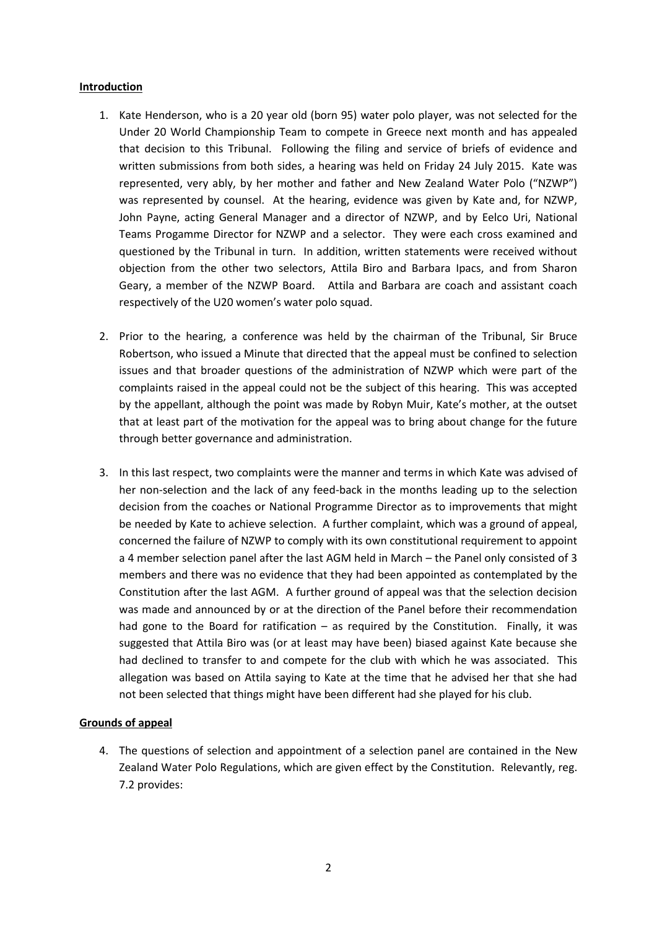## **Introduction**

- 1. Kate Henderson, who is a 20 year old (born 95) water polo player, was not selected for the Under 20 World Championship Team to compete in Greece next month and has appealed that decision to this Tribunal. Following the filing and service of briefs of evidence and written submissions from both sides, a hearing was held on Friday 24 July 2015. Kate was represented, very ably, by her mother and father and New Zealand Water Polo ("NZWP") was represented by counsel. At the hearing, evidence was given by Kate and, for NZWP, John Payne, acting General Manager and a director of NZWP, and by Eelco Uri, National Teams Progamme Director for NZWP and a selector. They were each cross examined and questioned by the Tribunal in turn. In addition, written statements were received without objection from the other two selectors, Attila Biro and Barbara Ipacs, and from Sharon Geary, a member of the NZWP Board. Attila and Barbara are coach and assistant coach respectively of the U20 women's water polo squad.
- 2. Prior to the hearing, a conference was held by the chairman of the Tribunal, Sir Bruce Robertson, who issued a Minute that directed that the appeal must be confined to selection issues and that broader questions of the administration of NZWP which were part of the complaints raised in the appeal could not be the subject of this hearing. This was accepted by the appellant, although the point was made by Robyn Muir, Kate's mother, at the outset that at least part of the motivation for the appeal was to bring about change for the future through better governance and administration.
- 3. In this last respect, two complaints were the manner and terms in which Kate was advised of her non-selection and the lack of any feed-back in the months leading up to the selection decision from the coaches or National Programme Director as to improvements that might be needed by Kate to achieve selection. A further complaint, which was a ground of appeal, concerned the failure of NZWP to comply with its own constitutional requirement to appoint a 4 member selection panel after the last AGM held in March – the Panel only consisted of 3 members and there was no evidence that they had been appointed as contemplated by the Constitution after the last AGM. A further ground of appeal was that the selection decision was made and announced by or at the direction of the Panel before their recommendation had gone to the Board for ratification – as required by the Constitution. Finally, it was suggested that Attila Biro was (or at least may have been) biased against Kate because she had declined to transfer to and compete for the club with which he was associated. This allegation was based on Attila saying to Kate at the time that he advised her that she had not been selected that things might have been different had she played for his club.

## **Grounds of appeal**

4. The questions of selection and appointment of a selection panel are contained in the New Zealand Water Polo Regulations, which are given effect by the Constitution. Relevantly, reg. 7.2 provides: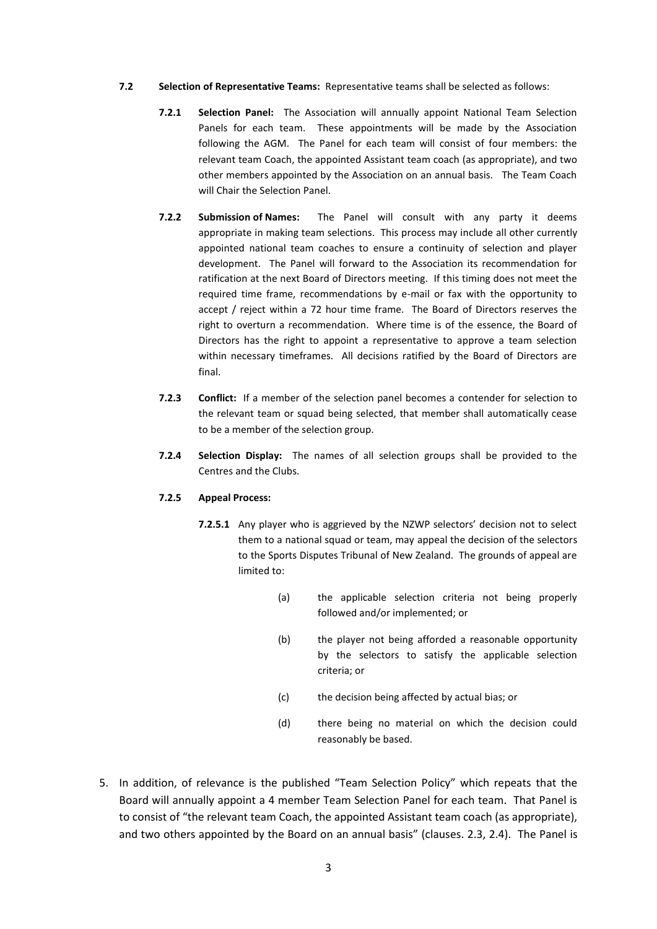- **7.2 Selection of Representative Teams:** Representative teams shall be selected as follows:
	- **7.2.1 Selection Panel:** The Association will annually appoint National Team Selection Panels for each team. These appointments will be made by the Association following the AGM. The Panel for each team will consist of four members: the relevant team Coach, the appointed Assistant team coach (as appropriate), and two other members appointed by the Association on an annual basis. The Team Coach will Chair the Selection Panel.
	- **7.2.2 Submission of Names:** The Panel will consult with any party it deems appropriate in making team selections. This process may include all other currently appointed national team coaches to ensure a continuity of selection and player development. The Panel will forward to the Association its recommendation for ratification at the next Board of Directors meeting. If this timing does not meet the required time frame, recommendations by e-mail or fax with the opportunity to accept / reject within a 72 hour time frame. The Board of Directors reserves the right to overturn a recommendation. Where time is of the essence, the Board of Directors has the right to appoint a representative to approve a team selection within necessary timeframes. All decisions ratified by the Board of Directors are final.
	- **7.2.3 Conflict:** If a member of the selection panel becomes a contender for selection to the relevant team or squad being selected, that member shall automatically cease to be a member of the selection group.
	- **7.2.4 Selection Display:** The names of all selection groups shall be provided to the Centres and the Clubs.

#### **7.2.5 Appeal Process:**

- **7.2.5.1** Any player who is aggrieved by the NZWP selectors' decision not to select them to a national squad or team, may appeal the decision of the selectors to the Sports Disputes Tribunal of New Zealand. The grounds of appeal are limited to:
	- (a) the applicable selection criteria not being properly followed and/or implemented; or
	- (b) the player not being afforded a reasonable opportunity by the selectors to satisfy the applicable selection criteria; or
	- (c) the decision being affected by actual bias; or
	- (d) there being no material on which the decision could reasonably be based.
- 5. In addition, of relevance is the published "Team Selection Policy" which repeats that the Board will annually appoint a 4 member Team Selection Panel for each team. That Panel is to consist of "the relevant team Coach, the appointed Assistant team coach (as appropriate), and two others appointed by the Board on an annual basis" (clauses. 2.3, 2.4). The Panel is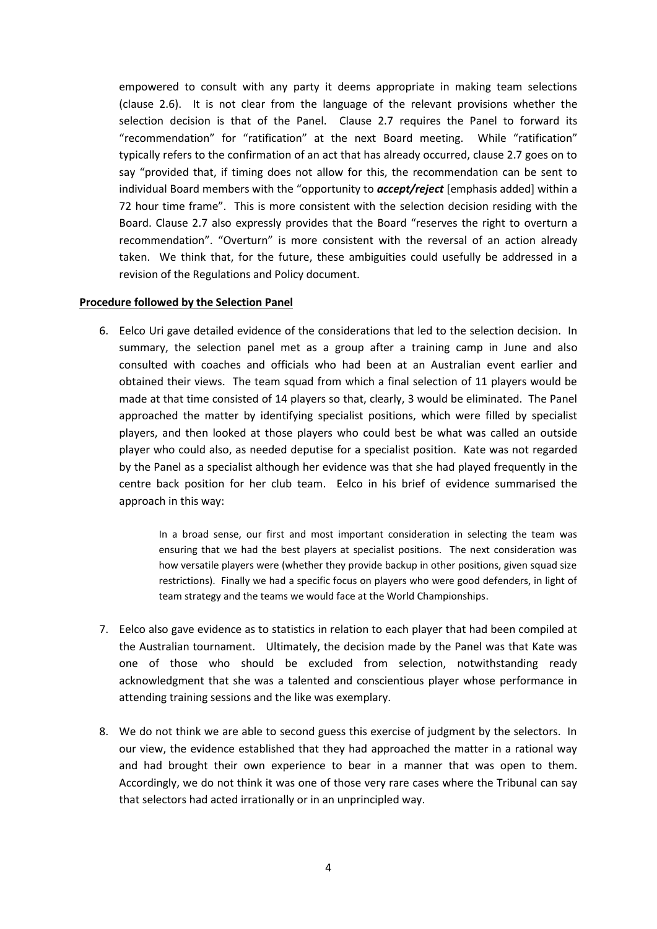empowered to consult with any party it deems appropriate in making team selections (clause 2.6). It is not clear from the language of the relevant provisions whether the selection decision is that of the Panel. Clause 2.7 requires the Panel to forward its "recommendation" for "ratification" at the next Board meeting. While "ratification" typically refers to the confirmation of an act that has already occurred, clause 2.7 goes on to say "provided that, if timing does not allow for this, the recommendation can be sent to individual Board members with the "opportunity to *accept/reject* [emphasis added] within a 72 hour time frame". This is more consistent with the selection decision residing with the Board. Clause 2.7 also expressly provides that the Board "reserves the right to overturn a recommendation". "Overturn" is more consistent with the reversal of an action already taken. We think that, for the future, these ambiguities could usefully be addressed in a revision of the Regulations and Policy document.

#### **Procedure followed by the Selection Panel**

6. Eelco Uri gave detailed evidence of the considerations that led to the selection decision. In summary, the selection panel met as a group after a training camp in June and also consulted with coaches and officials who had been at an Australian event earlier and obtained their views. The team squad from which a final selection of 11 players would be made at that time consisted of 14 players so that, clearly, 3 would be eliminated. The Panel approached the matter by identifying specialist positions, which were filled by specialist players, and then looked at those players who could best be what was called an outside player who could also, as needed deputise for a specialist position. Kate was not regarded by the Panel as a specialist although her evidence was that she had played frequently in the centre back position for her club team. Eelco in his brief of evidence summarised the approach in this way:

> In a broad sense, our first and most important consideration in selecting the team was ensuring that we had the best players at specialist positions. The next consideration was how versatile players were (whether they provide backup in other positions, given squad size restrictions). Finally we had a specific focus on players who were good defenders, in light of team strategy and the teams we would face at the World Championships.

- 7. Eelco also gave evidence as to statistics in relation to each player that had been compiled at the Australian tournament. Ultimately, the decision made by the Panel was that Kate was one of those who should be excluded from selection, notwithstanding ready acknowledgment that she was a talented and conscientious player whose performance in attending training sessions and the like was exemplary.
- 8. We do not think we are able to second guess this exercise of judgment by the selectors. In our view, the evidence established that they had approached the matter in a rational way and had brought their own experience to bear in a manner that was open to them. Accordingly, we do not think it was one of those very rare cases where the Tribunal can say that selectors had acted irrationally or in an unprincipled way.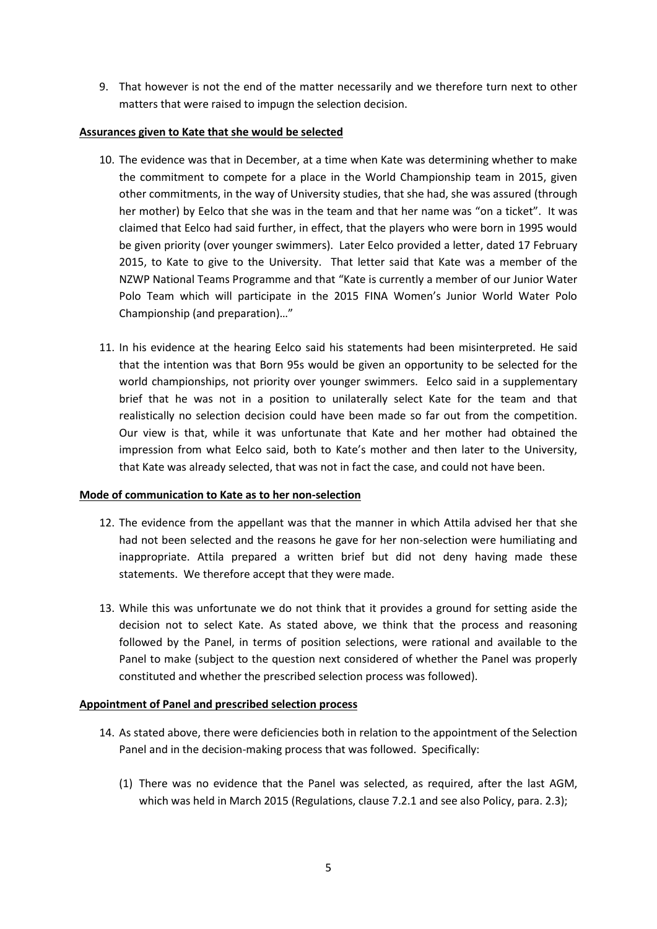9. That however is not the end of the matter necessarily and we therefore turn next to other matters that were raised to impugn the selection decision.

## **Assurances given to Kate that she would be selected**

- 10. The evidence was that in December, at a time when Kate was determining whether to make the commitment to compete for a place in the World Championship team in 2015, given other commitments, in the way of University studies, that she had, she was assured (through her mother) by Eelco that she was in the team and that her name was "on a ticket". It was claimed that Eelco had said further, in effect, that the players who were born in 1995 would be given priority (over younger swimmers). Later Eelco provided a letter, dated 17 February 2015, to Kate to give to the University. That letter said that Kate was a member of the NZWP National Teams Programme and that "Kate is currently a member of our Junior Water Polo Team which will participate in the 2015 FINA Women's Junior World Water Polo Championship (and preparation)…"
- 11. In his evidence at the hearing Eelco said his statements had been misinterpreted. He said that the intention was that Born 95s would be given an opportunity to be selected for the world championships, not priority over younger swimmers. Eelco said in a supplementary brief that he was not in a position to unilaterally select Kate for the team and that realistically no selection decision could have been made so far out from the competition. Our view is that, while it was unfortunate that Kate and her mother had obtained the impression from what Eelco said, both to Kate's mother and then later to the University, that Kate was already selected, that was not in fact the case, and could not have been.

## **Mode of communication to Kate as to her non-selection**

- 12. The evidence from the appellant was that the manner in which Attila advised her that she had not been selected and the reasons he gave for her non-selection were humiliating and inappropriate. Attila prepared a written brief but did not deny having made these statements. We therefore accept that they were made.
- 13. While this was unfortunate we do not think that it provides a ground for setting aside the decision not to select Kate. As stated above, we think that the process and reasoning followed by the Panel, in terms of position selections, were rational and available to the Panel to make (subject to the question next considered of whether the Panel was properly constituted and whether the prescribed selection process was followed).

## **Appointment of Panel and prescribed selection process**

- 14. As stated above, there were deficiencies both in relation to the appointment of the Selection Panel and in the decision-making process that was followed. Specifically:
	- (1) There was no evidence that the Panel was selected, as required, after the last AGM, which was held in March 2015 (Regulations, clause 7.2.1 and see also Policy, para. 2.3);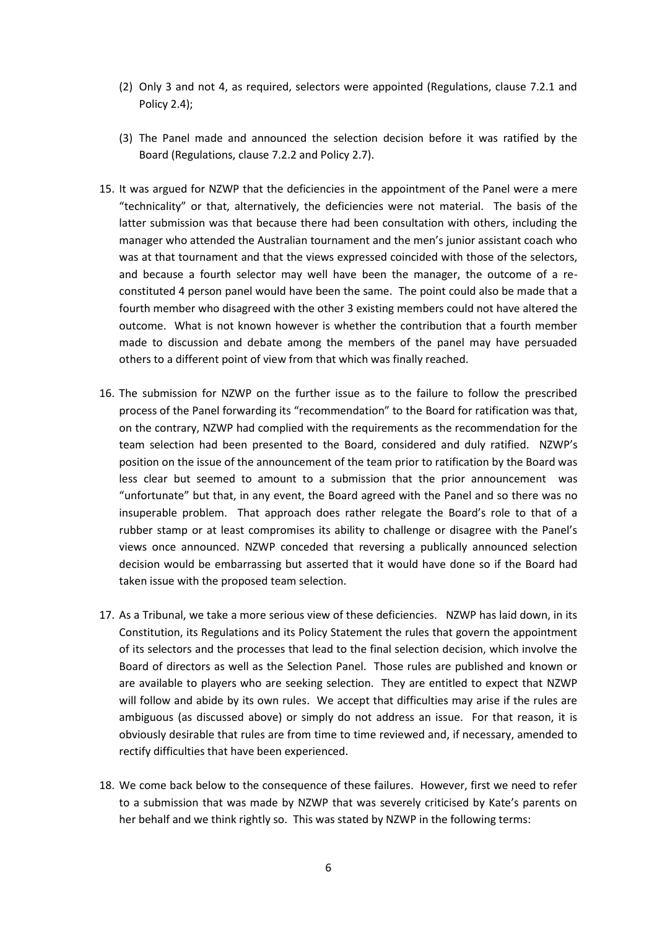- (2) Only 3 and not 4, as required, selectors were appointed (Regulations, clause 7.2.1 and Policy 2.4);
- (3) The Panel made and announced the selection decision before it was ratified by the Board (Regulations, clause 7.2.2 and Policy 2.7).
- 15. It was argued for NZWP that the deficiencies in the appointment of the Panel were a mere "technicality" or that, alternatively, the deficiencies were not material. The basis of the latter submission was that because there had been consultation with others, including the manager who attended the Australian tournament and the men's junior assistant coach who was at that tournament and that the views expressed coincided with those of the selectors, and because a fourth selector may well have been the manager, the outcome of a reconstituted 4 person panel would have been the same. The point could also be made that a fourth member who disagreed with the other 3 existing members could not have altered the outcome. What is not known however is whether the contribution that a fourth member made to discussion and debate among the members of the panel may have persuaded others to a different point of view from that which was finally reached.
- 16. The submission for NZWP on the further issue as to the failure to follow the prescribed process of the Panel forwarding its "recommendation" to the Board for ratification was that, on the contrary, NZWP had complied with the requirements as the recommendation for the team selection had been presented to the Board, considered and duly ratified. NZWP's position on the issue of the announcement of the team prior to ratification by the Board was less clear but seemed to amount to a submission that the prior announcement was "unfortunate" but that, in any event, the Board agreed with the Panel and so there was no insuperable problem. That approach does rather relegate the Board's role to that of a rubber stamp or at least compromises its ability to challenge or disagree with the Panel's views once announced. NZWP conceded that reversing a publically announced selection decision would be embarrassing but asserted that it would have done so if the Board had taken issue with the proposed team selection.
- 17. As a Tribunal, we take a more serious view of these deficiencies. NZWP has laid down, in its Constitution, its Regulations and its Policy Statement the rules that govern the appointment of its selectors and the processes that lead to the final selection decision, which involve the Board of directors as well as the Selection Panel. Those rules are published and known or are available to players who are seeking selection. They are entitled to expect that NZWP will follow and abide by its own rules. We accept that difficulties may arise if the rules are ambiguous (as discussed above) or simply do not address an issue. For that reason, it is obviously desirable that rules are from time to time reviewed and, if necessary, amended to rectify difficulties that have been experienced.
- 18. We come back below to the consequence of these failures. However, first we need to refer to a submission that was made by NZWP that was severely criticised by Kate's parents on her behalf and we think rightly so. This was stated by NZWP in the following terms: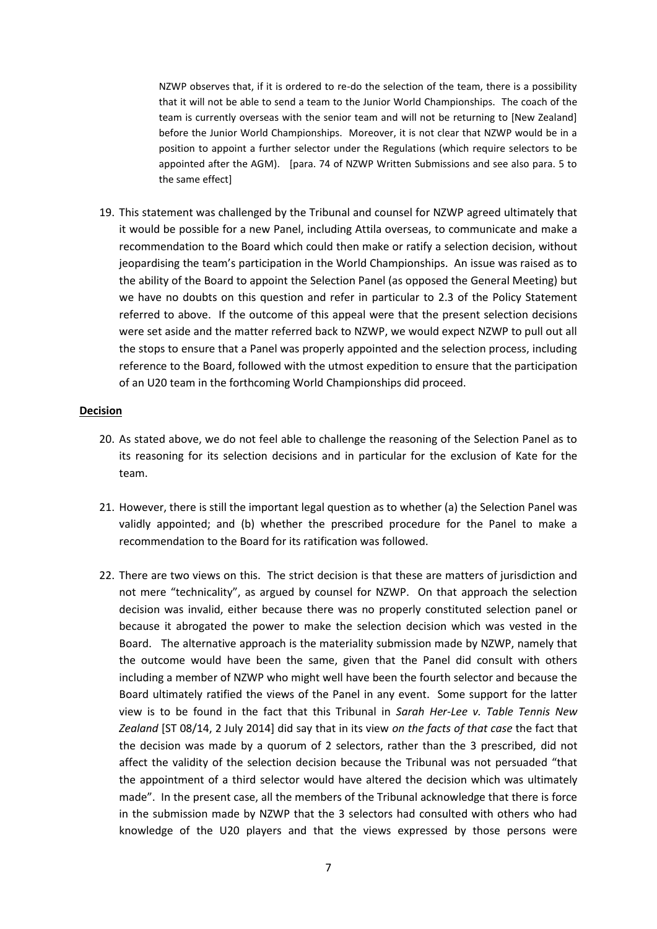NZWP observes that, if it is ordered to re-do the selection of the team, there is a possibility that it will not be able to send a team to the Junior World Championships. The coach of the team is currently overseas with the senior team and will not be returning to [New Zealand] before the Junior World Championships. Moreover, it is not clear that NZWP would be in a position to appoint a further selector under the Regulations (which require selectors to be appointed after the AGM). [para. 74 of NZWP Written Submissions and see also para. 5 to the same effect]

19. This statement was challenged by the Tribunal and counsel for NZWP agreed ultimately that it would be possible for a new Panel, including Attila overseas, to communicate and make a recommendation to the Board which could then make or ratify a selection decision, without jeopardising the team's participation in the World Championships. An issue was raised as to the ability of the Board to appoint the Selection Panel (as opposed the General Meeting) but we have no doubts on this question and refer in particular to 2.3 of the Policy Statement referred to above. If the outcome of this appeal were that the present selection decisions were set aside and the matter referred back to NZWP, we would expect NZWP to pull out all the stops to ensure that a Panel was properly appointed and the selection process, including reference to the Board, followed with the utmost expedition to ensure that the participation of an U20 team in the forthcoming World Championships did proceed.

#### **Decision**

- 20. As stated above, we do not feel able to challenge the reasoning of the Selection Panel as to its reasoning for its selection decisions and in particular for the exclusion of Kate for the team.
- 21. However, there is still the important legal question as to whether (a) the Selection Panel was validly appointed; and (b) whether the prescribed procedure for the Panel to make a recommendation to the Board for its ratification was followed.
- 22. There are two views on this. The strict decision is that these are matters of jurisdiction and not mere "technicality", as argued by counsel for NZWP. On that approach the selection decision was invalid, either because there was no properly constituted selection panel or because it abrogated the power to make the selection decision which was vested in the Board. The alternative approach is the materiality submission made by NZWP, namely that the outcome would have been the same, given that the Panel did consult with others including a member of NZWP who might well have been the fourth selector and because the Board ultimately ratified the views of the Panel in any event. Some support for the latter view is to be found in the fact that this Tribunal in *Sarah Her-Lee v. Table Tennis New Zealand* [ST 08/14, 2 July 2014] did say that in its view *on the facts of that case* the fact that the decision was made by a quorum of 2 selectors, rather than the 3 prescribed, did not affect the validity of the selection decision because the Tribunal was not persuaded "that the appointment of a third selector would have altered the decision which was ultimately made". In the present case, all the members of the Tribunal acknowledge that there is force in the submission made by NZWP that the 3 selectors had consulted with others who had knowledge of the U20 players and that the views expressed by those persons were